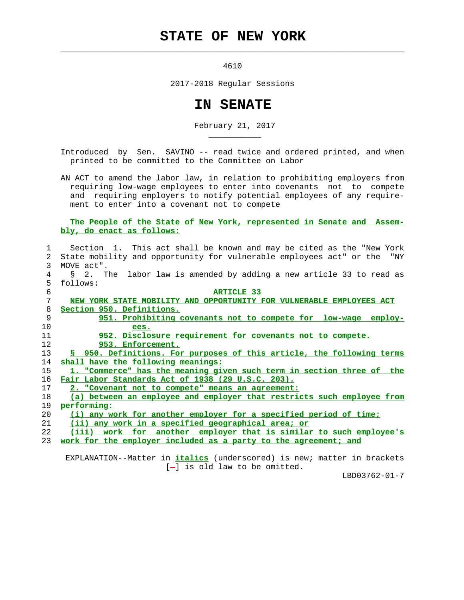## **STATE OF NEW YORK**

 $\mathcal{L}_\text{max} = \frac{1}{2} \sum_{i=1}^{n} \frac{1}{2} \sum_{i=1}^{n} \frac{1}{2} \sum_{i=1}^{n} \frac{1}{2} \sum_{i=1}^{n} \frac{1}{2} \sum_{i=1}^{n} \frac{1}{2} \sum_{i=1}^{n} \frac{1}{2} \sum_{i=1}^{n} \frac{1}{2} \sum_{i=1}^{n} \frac{1}{2} \sum_{i=1}^{n} \frac{1}{2} \sum_{i=1}^{n} \frac{1}{2} \sum_{i=1}^{n} \frac{1}{2} \sum_{i=1}^{n} \frac{1$ 

\_\_\_\_\_\_\_\_\_\_\_

4610

2017-2018 Regular Sessions

## **IN SENATE**

February 21, 2017

 Introduced by Sen. SAVINO -- read twice and ordered printed, and when printed to be committed to the Committee on Labor

 AN ACT to amend the labor law, in relation to prohibiting employers from requiring low-wage employees to enter into covenants not to compete and requiring employers to notify potential employees of any require ment to enter into a covenant not to compete

## **The People of the State of New York, represented in Senate and Assem bly, do enact as follows:**

|                | Section 1. This act shall be known and may be cited as the "New York         |
|----------------|------------------------------------------------------------------------------|
| $\overline{2}$ | State mobility and opportunity for vulnerable employees act" or the "NY      |
| 3              | MOVE act".                                                                   |
| 4              | § 2. The labor law is amended by adding a new article 33 to read as          |
| 5              | follows:                                                                     |
| 6              | <b>ARTICLE 33</b>                                                            |
| 7              | NEW YORK STATE MOBILITY AND OPPORTUNITY FOR VULNERABLE EMPLOYEES ACT         |
| 8              | Section 950. Definitions.                                                    |
| 9              | 951. Prohibiting covenants not to compete for low-wage employ-               |
| 10             | ees.                                                                         |
| 11             | 952. Disclosure requirement for covenants not to compete.                    |
| 12             | 953. Enforcement.                                                            |
| 13             | <u>S 950. Definitions. For purposes of this article, the following terms</u> |
| 14             | shall have the following meanings:                                           |
| 15             | 1. "Commerce" has the meaning given such term in section three of the        |
| 16             | Fair Labor Standards Act of 1938 (29 U.S.C. 203).                            |
| 17             | 2. "Covenant not to compete" means an agreement:                             |
| 18             | (a) between an employee and employer that restricts such employee from       |
| 19             | performing:                                                                  |
| 20             | (i) any work for another employer for a specified period of time;            |
| 21             | (ii) any work in a specified geographical area; or                           |
| 22             | (iii) work for another employer that is similar to such employee's           |
| 23             | work for the employer included as a party to the agreement; and              |
|                |                                                                              |

 EXPLANATION--Matter in **italics** (underscored) is new; matter in brackets [-] is old law to be omitted.

LBD03762-01-7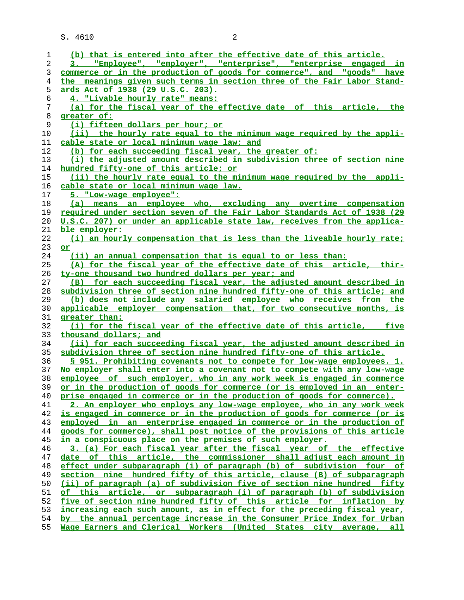S. 4610 2

| 1  | (b) that is entered into after the effective date of this article.       |
|----|--------------------------------------------------------------------------|
| 2  | "Employee", "employer", "enterprise", "enterprise engaged in<br>3.1      |
| 3  | commerce or in the production of goods for commerce", and "goods" have   |
| 4  | the meanings given such terms in section three of the Fair Labor Stand-  |
| 5  | <u>ards Act of 1938 (29 U.S.C. 203).</u>                                 |
| 6  | 4. "Livable hourly rate" means:                                          |
| 7  | (a) for the fiscal year of the effective date of this article, the       |
| 8  | greater of:                                                              |
| 9  | (i) fifteen dollars per hour; or                                         |
| 10 | (ii) the hourly rate equal to the minimum wage required by the appli-    |
| 11 | cable state or local minimum wage law; and                               |
| 12 | (b) for each succeeding fiscal year, the greater of:                     |
| 13 | (i) the adjusted amount described in subdivision three of section nine   |
| 14 | hundred fifty-one of this article; or                                    |
| 15 | (ii) the hourly rate equal to the minimum wage required by the appli-    |
| 16 | cable state or local minimum wage law.                                   |
| 17 | 5. "Low-wage employee":                                                  |
| 18 | (a) means an employee who, excluding any overtime compensation           |
| 19 | required under section seven of the Fair Labor Standards Act of 1938 (29 |
| 20 | U.S.C. 207) or under an applicable state law, receives from the applica- |
| 21 | ble employer:                                                            |
| 22 | (i) an hourly compensation that is less than the liveable hourly rate;   |
| 23 | or                                                                       |
| 24 | (ii) an annual compensation that is equal to or less than:               |
| 25 | (A) for the fiscal year of the effective date of this article, thir-     |
| 26 | ty-one thousand two hundred dollars per year; and                        |
| 27 | (B) for each succeeding fiscal year, the adjusted amount described in    |
| 28 | subdivision three of section nine hundred fifty-one of this article; and |
| 29 | (b) does not include any salaried employee who receives from the         |
| 30 | applicable employer compensation that, for two consecutive months, is    |
| 31 | greater than:                                                            |
| 32 | (i) for the fiscal year of the effective date of this article, five      |
| 33 | thousand dollars; and                                                    |
| 34 | (ii) for each succeeding fiscal year, the adjusted amount described in   |
| 35 | subdivision three of section nine hundred fifty-one of this article.     |
| 36 | S 951. Prohibiting covenants not to compete for low-wage employees. 1.   |
| 37 | No employer shall enter into a covenant not to compete with any low-wage |
| 38 | employee of such employer, who in any work week is engaged in commerce   |
| 39 | or in the production of goods for commerce (or is employed in an enter-  |
| 40 | prise engaged in commerce or in the production of goods for commerce).   |
| 41 | 2. An employer who employs any low-wage employee, who in any work week   |
| 42 | is engaged in commerce or in the production of goods for commerce (or is |
| 43 | employed in an enterprise engaged in commerce or in the production of    |
| 44 | goods for commerce), shall post notice of the provisions of this article |
| 45 | in a conspicuous place on the premises of such employer.                 |
| 46 | 3. (a) For each fiscal year after the fiscal year of the effective       |
| 47 | date of this article, the commissioner shall adjust each amount in       |
| 48 | effect under subparagraph (i) of paragraph (b) of subdivision four<br>оf |
| 49 | section nine hundred fifty of this article, clause (B) of subparagraph   |
| 50 | (ii) of paragraph (a) of subdivision five of section nine hundred fifty  |
| 51 | of this article, or subparagraph (i) of paragraph (b) of subdivision     |
| 52 | five of section nine hundred fifty of this article for inflation by      |
| 53 | increasing each such amount, as in effect for the preceding fiscal year, |
| 54 | by the annual percentage increase in the Consumer Price Index for Urban  |
| 55 | Wage Earners and Clerical Workers (United States city average, all       |
|    |                                                                          |